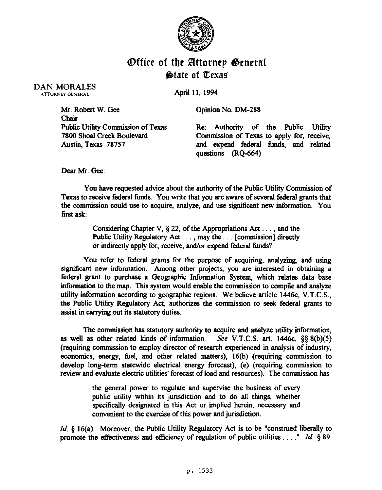

## **Office of the Attornep General &tate of IICexae**

DAN MORALES ATTORNEY GENERAL

April 11,1994

Mr. Robert W. Gee Chair Public Utility Commission of Texas **7800** Shoal Creek Boulevard Austin, Texas 78757 Opinion No. DM-288 Re: Authority of the Public Utility Commission of Texas to apply for, receive, and expend federal funds, and related questions (RQ-664)

Dear Mr. Gee:

You have requested advice about the authority of the Public Utility Commission of Texas to receive federal funds. You write that you are aware of several federal grants that the commission could use to acquire, analyze, and use significant new information. You first ask:

> Considering Chapter V,  $\S 22$ , of the Appropriations Act . . . , and the Public Utility Regulatory Act  $\dots$ , may the  $\dots$  [commission] directly or indirectly apply for, receive, and/or expend federal funds?

You refer to federal grants for the purpose of acquiring, analyzing, and using significant new information. Among other projects, you are interested in obtaining a federal grant to purchase a Geographic Information System, which relates data base information to the map. This system would enable the commission to compile and analyze utility information according to geographic regions. We believe article 1446c, V.T.C.S., the Public Utility Regulatory Act, authorizes the commission to seek federal grants to assist in carrying out its statutory duties.

The commission has statutory authority to acquire and analyxe utility information, as well as other related kinds of information. See V.T.C.S. art.  $1446c$ ,  $\S$ §  $8(b)(5)$ (requiring commission to employ director of research experienced in analysis of industry, economics, energy, fuel, and other related matters), 16(b) (requiring commission to develop long-term statewide electrical energy forecast), (e) (requiring commission to review and evaluate electric utilities' forecast of load and resources). The commission has

> the general power to regulate and supervise the business of every public utility within its jurisdiction and to do all things, whether specifically designated in this Act or implied herein, necessary and convenient to the exercise of this power and jurisdiction.

*Id.* § 16(a). Moreover, the Public Utility Regulatory Act is to be "construed liberally to promote the effectiveness and efficiency of regulation of public utilities...." *Id.* § 89.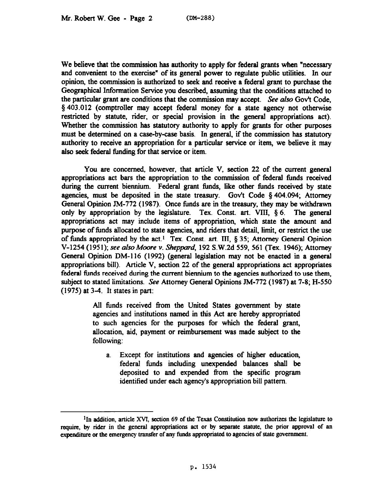We believe that the commission has authority to apply for federal grants when "necessary and convenient to the exercise" of its general power to regulate public utilities. In our opinion, the commission is authorized to seek and receive a federal grant to purchase the Geographical Information Service you described, assuming that the conditions attached to the particular grant are conditions that the commission may accept. See also Gov't Code, \$403.012 (comptroller may accept federal money for a state agency not otherwise restricted by statute, rider, or special provision in the general appropriations act). Whether the commission has statutory authority to apply for grants for other purposes must be determined on a case-by-case basis. In general, if the commission has statutory authority to receive an appropriation for a particular service or item, we believe it may also seek federal funding for that service or item.

You are concerned, however, that article V, section 22 of the current general appropriations act bars the appropriation to the commission of federal finds received during the current biennium. Federal grant finds, like other funds received by state agencies, must be deposited in the state treasury. Gov't Code  $\S$  404.094; Attorney General Opinion IM-772 (1987). Once fimds are in the treasury, they may be withdrawn only by appropriation by the legislature. Tex. Const. art. VIII,  $\delta$  6. The general appropriations act may include items of appropriation, which state the amount and purpose of funds allocated to state agencies, and riders that detail, limit, or restrict the use of finds appropriated by the act.' Tex. Const. art. III, § 35; Attorney General Opinion V-1254 (1951); see alsoMoore v. *Sheppard,* 192 S.W.2d 559, 561 (Tex. 1946); Attorney General Opinion DM-I 16 (1992) (general legislation may not be enacted in a general appropriations bill). Article V, section 22 of the general appropriations act appropriates federal fimds received during the current biennium to the agencies authorized to use them, subject to stated limitations. See Attorney General Opinions IM-772 (1987) at 7-8; H-550 *(1975)* at 3-4. It states in part:

> All fimds received from the United States government by state agencies and institutions named in this Act are hereby appropriated to such agencies for the purposes for which the federal grant, allocation, aid, payment or reimbursement was made subject to the following:

a. Except for institutions and agencies of higher education, federal funds including unexpended balances shall be deposited to and expended from the specific program identified under each agency's appropriation bill pattern.

<sup>&</sup>lt;sup>1</sup>In addition, article XVI, section 69 of the Texas Constitution now authorizes the legislature to require, by rider in the general appropriations act or by separate statute, the prior approval **of an**  expenditure or the emergency transfer of any funds appropriated to agencies of state government.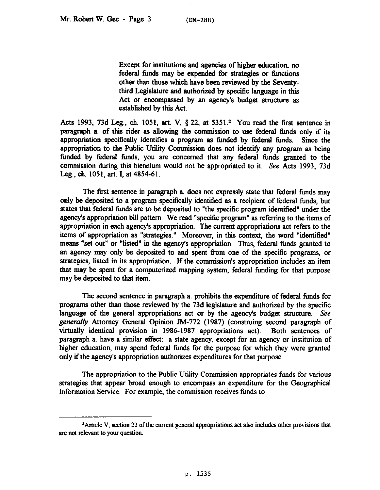Except for institutions and agencies of higher education, no federal funds may be expended for strategies or functions other than those which have been reviewed by the Seventythird Legislature and authorized by specific language in this Act or encompassed by an agency's budget structure as established by this Act.

Acts 1993, 73d Leg., ch. 1051, art. V, § 22, at 5351.<sup>2</sup> You read the first sentence in paragraph a. of this rider as allowing the commission to use federal timds only if its appropriation specifically identifies a program as timded by federal funds. Since the appropriation to the Public Utility Commission does not identify any program as being funded by federal funds, you are concerned that any federal funds granted to the commission during this biennium would not be appropriated to it. See Acts 1993, 73d Leg., ch. 1051, art. I, at 4854-61.

The first sentence in paragraph a. does not expressly state that federal funds may only be deposited to a program specifically identified as a recipient of federal funds, but states that federal funds are to be deposited to "the specific program identified" under the agency's appropriation bill pattern. We read "specific program" as refening to the items of appropriation in each agency's appropriation. The current appropriations act refers to the items of appropriation as "strategies." Moreover, in this context, the word "identified means "set out" or "listed" in the agency's appropriation. Thus, federal funds granted to an agency may only be deposited to and spent from one of the specific programs, or strategies, listed in its appropriation. If the commission's appropriation includes an item that may be spent for a computerized mapping system, federal funding for that purpose may be deposited to that item.

The second sentence in paragraph a. prohibits the expenditure of federal funds for programs other than those reviewed by the 73d legislature and authorized by the specific language of the general appropriations act or by the agency's budget structure. See *generally* Attorney General Opinion JM-772 (1987) (construing second paragraph of virtually identical provision in 1986-1987 appropriations act). Both sentences of paragraph a. have a similar effect: a state agency, except for an agency or institution of higher education, may spend federal fimds for the purpose for which they were granted only if the agency's appropriation authorizes expenditures for that purpose.

The appropriation to the Public Utility Commission appropriates funds for various strategies that appear broad enough to encompass an expenditure for the Geographical Information Service. For example, the commission receives funds to

zArticle **V,** section **22 of the** current general appropriations act also includes other provisions that are not relevant to your question.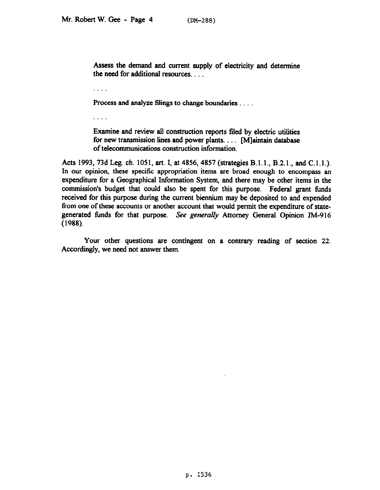Assess the demand and current supply of electricity and determine the need for additional resources. .

a a a a

Process and analyze filings to change boundaries . . . .

 $\cdots$ 

Examine and review all construction reports filed by electric utilities for new transmission lines and power plants.  $\ldots$  [M]aintain database of telecommunications construction information.

Acts 1993, 73d Leg. ch. 1051, art. I, at 4856, 4857 (strategies B.l.l., B.2.1., and C.l.l.). In our opinion, these specific appropriation items are broad enough to encompass an expenditure for a Geographical Information System, and there may be other items in the commission's budget that could also be spent for this purpose. Federal grant funds received for this purpose during the current biennium may be deposited to and expended from one of these accounts or another account that would permit the expenditure of stategenerated fimds for that purpose. See *generdy* Attorney General Opinion JM-916 (1988).

Your other questions are contingent on a contrary reading of section 22. Accordingly, we need not answer them.